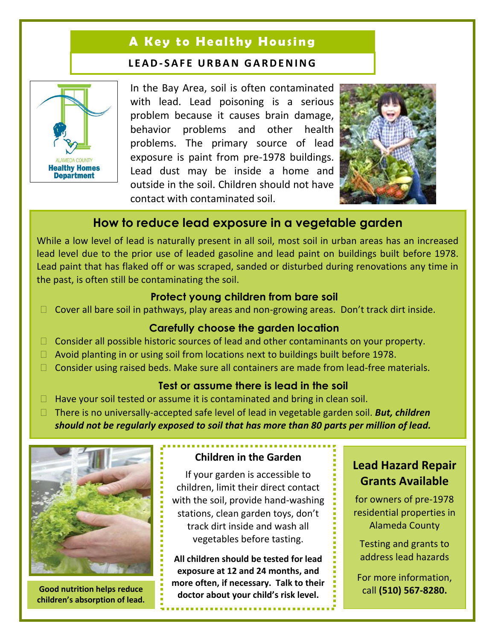# **A Key to Healthy Housing**

#### **L E A D- S A F E U R B A N G A R D E N I N G**



In the Bay Area, soil is often contaminated with lead. Lead poisoning is a serious problem because it causes brain damage, behavior problems and other health problems. The primary source of lead exposure is paint from pre-1978 buildings. Lead dust may be inside a home and outside in the soil. Children should not have contact with contaminated soil.



## **How to reduce lead exposure in a vegetable garden**

While a low level of lead is naturally present in all soil, most soil in urban areas has an increased lead level due to the prior use of leaded gasoline and lead paint on buildings built before 1978. Lead paint that has flaked off or was scraped, sanded or disturbed during renovations any time in the past, is often still be contaminating the soil.

#### **Protect young children from bare soil**

 $\Box$  Cover all bare soil in pathways, play areas and non-growing areas. Don't track dirt inside.

#### **Carefully choose the garden location**

- $\Box$  Consider all possible historic sources of lead and other contaminants on your property.
- $\Box$  Avoid planting in or using soil from locations next to buildings built before 1978.
- □ Consider using raised beds. Make sure all containers are made from lead-free materials.

#### **Test or assume there is lead in the soil**

- $\Box$  Have your soil tested or assume it is contaminated and bring in clean soil.
- There is no universally-accepted safe level of lead in vegetable garden soil. *But, children should not be regularly exposed to soil that has more than 80 parts per million of lead.*



**children's absorption of lead.**

### **Children in the Garden**

If your garden is accessible to children, limit their direct contact with the soil, provide hand-washing stations, clean garden toys, don't track dirt inside and wash all vegetables before tasting.

**All children should be tested for lead exposure at 12 and 24 months, and more often, if necessary. Talk to their doctor about your child'<sup>s</sup> risk level. Good nutrition helps reduce** 

# **Lead Hazard Repair Grants Available**

for owners of pre-1978 residential properties in Alameda County

Testing and grants to address lead hazards

For more information, call **(510) 567-8280.**